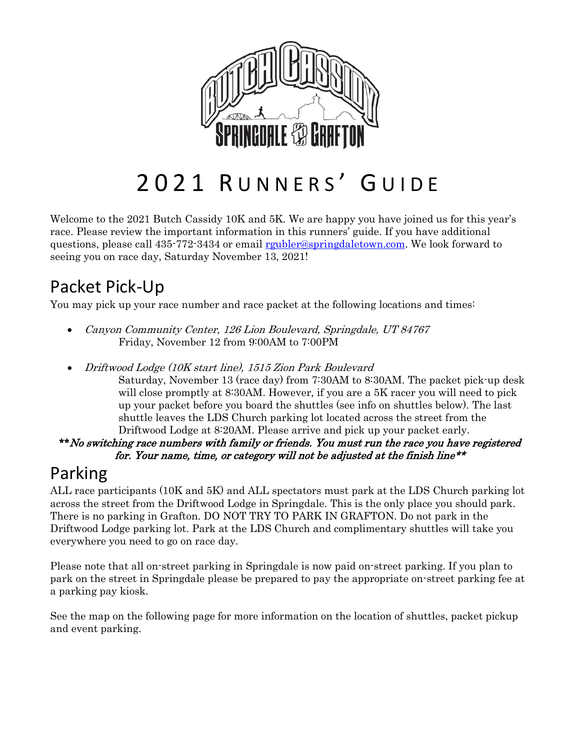

# 2021 RUNNERS' GUIDE

Welcome to the 2021 Butch Cassidy 10K and 5K. We are happy you have joined us for this year's race. Please review the important information in this runners' guide. If you have additional questions, please call 435-772-3434 or email [rgubler@springdaletown.com.](mailto:rgubler@springdaletown.com) We look forward to seeing you on race day, Saturday November 13, 2021!

# Packet Pick-Up

You may pick up your race number and race packet at the following locations and times:

- Canyon Community Center, 126 Lion Boulevard, Springdale, UT 84767 Friday, November 12 from 9:00AM to 7:00PM
- Driftwood Lodge (10K start line), 1515 Zion Park Boulevard
	- Saturday, November 13 (race day) from 7:30AM to 8:30AM. The packet pick-up desk will close promptly at 8:30AM. However, if you are a 5K racer you will need to pick up your packet before you board the shuttles (see info on shuttles below). The last shuttle leaves the LDS Church parking lot located across the street from the Driftwood Lodge at 8:20AM. Please arrive and pick up your packet early.

\*\*No switching race numbers with family or friends. You must run the race you have registered for. Your name, time, or category will not be adjusted at the finish line\*\*

### Parking

ALL race participants (10K and 5K) and ALL spectators must park at the LDS Church parking lot across the street from the Driftwood Lodge in Springdale. This is the only place you should park. There is no parking in Grafton. DO NOT TRY TO PARK IN GRAFTON. Do not park in the Driftwood Lodge parking lot. Park at the LDS Church and complimentary shuttles will take you everywhere you need to go on race day.

Please note that all on-street parking in Springdale is now paid on-street parking. If you plan to park on the street in Springdale please be prepared to pay the appropriate on-street parking fee at a parking pay kiosk.

See the map on the following page for more information on the location of shuttles, packet pickup and event parking.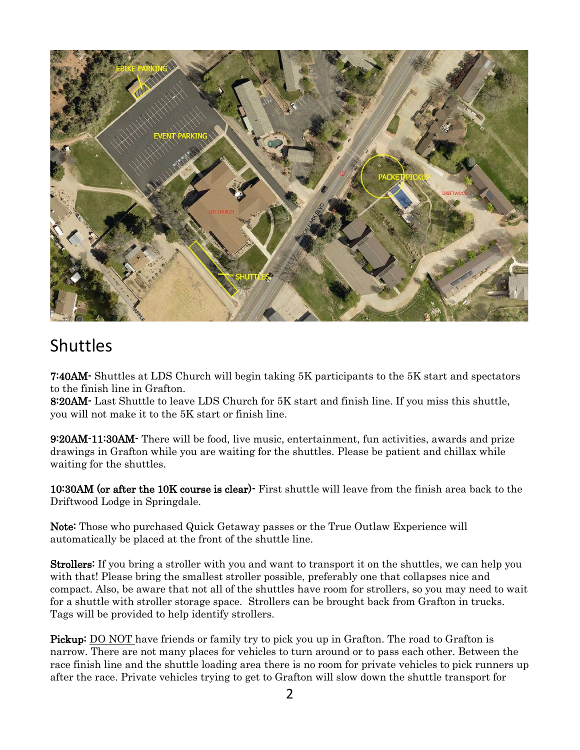

#### Shuttles

7:40AM- Shuttles at LDS Church will begin taking 5K participants to the 5K start and spectators to the finish line in Grafton.

8:20AM- Last Shuttle to leave LDS Church for 5K start and finish line. If you miss this shuttle, you will not make it to the 5K start or finish line.

9:20AM-11:30AM- There will be food, live music, entertainment, fun activities, awards and prize drawings in Grafton while you are waiting for the shuttles. Please be patient and chillax while waiting for the shuttles.

10:30AM (or after the 10K course is clear)- First shuttle will leave from the finish area back to the Driftwood Lodge in Springdale.

Note: Those who purchased Quick Getaway passes or the True Outlaw Experience will automatically be placed at the front of the shuttle line.

**Strollers:** If you bring a stroller with you and want to transport it on the shuttles, we can help you with that! Please bring the smallest stroller possible, preferably one that collapses nice and compact. Also, be aware that not all of the shuttles have room for strollers, so you may need to wait for a shuttle with stroller storage space. Strollers can be brought back from Grafton in trucks. Tags will be provided to help identify strollers.

Pickup: DO NOT have friends or family try to pick you up in Grafton. The road to Grafton is narrow. There are not many places for vehicles to turn around or to pass each other. Between the race finish line and the shuttle loading area there is no room for private vehicles to pick runners up after the race. Private vehicles trying to get to Grafton will slow down the shuttle transport for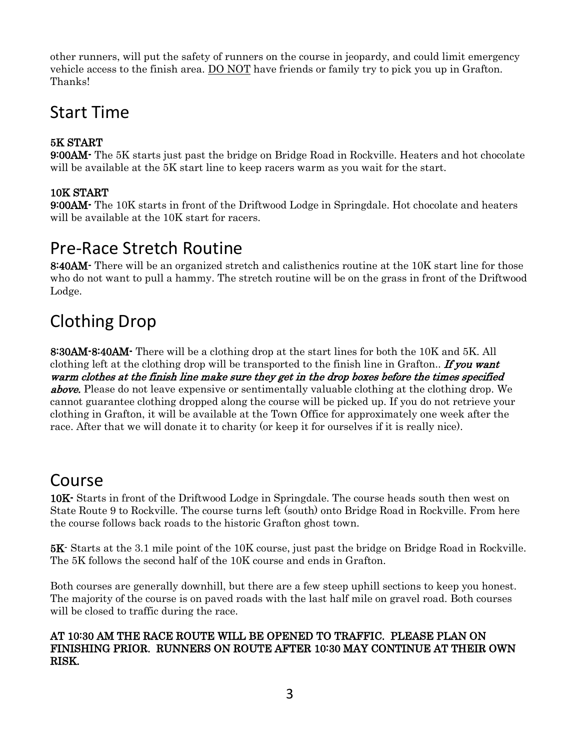other runners, will put the safety of runners on the course in jeopardy, and could limit emergency vehicle access to the finish area. DO NOT have friends or family try to pick you up in Grafton. Thanks!

### Start Time

#### 5K START

9:00AM- The 5K starts just past the bridge on Bridge Road in Rockville. Heaters and hot chocolate will be available at the 5K start line to keep racers warm as you wait for the start.

#### 10K START

9:00AM- The 10K starts in front of the Driftwood Lodge in Springdale. Hot chocolate and heaters will be available at the 10K start for racers.

#### Pre-Race Stretch Routine

8:40AM- There will be an organized stretch and calisthenics routine at the 10K start line for those who do not want to pull a hammy. The stretch routine will be on the grass in front of the Driftwood Lodge.

### Clothing Drop

8:30AM-8:40AM- There will be a clothing drop at the start lines for both the 10K and 5K. All clothing left at the clothing drop will be transported to the finish line in Grafton.. **If you want** warm clothes at the finish line make sure they get in the drop boxes before the times specified **above.** Please do not leave expensive or sentimentally valuable clothing at the clothing drop. We cannot guarantee clothing dropped along the course will be picked up. If you do not retrieve your clothing in Grafton, it will be available at the Town Office for approximately one week after the race. After that we will donate it to charity (or keep it for ourselves if it is really nice).

#### Course

10K- Starts in front of the Driftwood Lodge in Springdale. The course heads south then west on State Route 9 to Rockville. The course turns left (south) onto Bridge Road in Rockville. From here the course follows back roads to the historic Grafton ghost town.

5K- Starts at the 3.1 mile point of the 10K course, just past the bridge on Bridge Road in Rockville. The 5K follows the second half of the 10K course and ends in Grafton.

Both courses are generally downhill, but there are a few steep uphill sections to keep you honest. The majority of the course is on paved roads with the last half mile on gravel road. Both courses will be closed to traffic during the race.

#### AT 10:30 AM THE RACE ROUTE WILL BE OPENED TO TRAFFIC. PLEASE PLAN ON FINISHING PRIOR. RUNNERS ON ROUTE AFTER 10:30 MAY CONTINUE AT THEIR OWN RISK.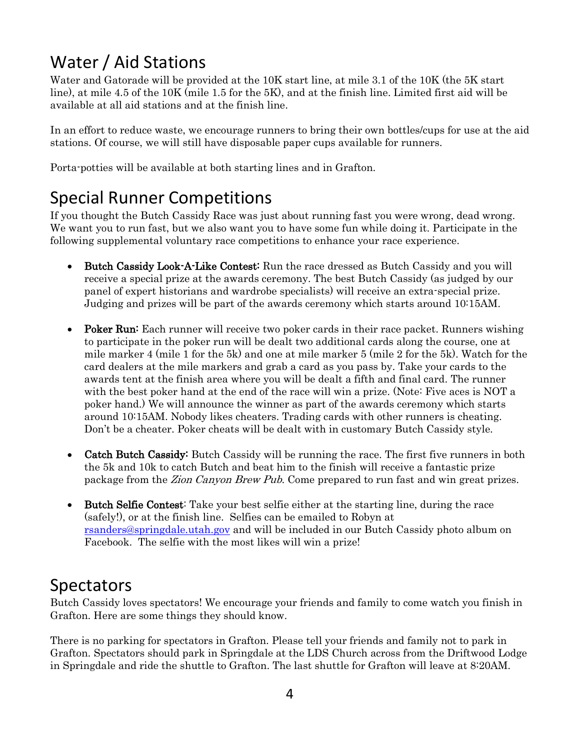# Water / Aid Stations

Water and Gatorade will be provided at the 10K start line, at mile 3.1 of the 10K (the 5K start line), at mile 4.5 of the 10K (mile 1.5 for the 5K), and at the finish line. Limited first aid will be available at all aid stations and at the finish line.

In an effort to reduce waste, we encourage runners to bring their own bottles/cups for use at the aid stations. Of course, we will still have disposable paper cups available for runners.

Porta-potties will be available at both starting lines and in Grafton.

### Special Runner Competitions

If you thought the Butch Cassidy Race was just about running fast you were wrong, dead wrong. We want you to run fast, but we also want you to have some fun while doing it. Participate in the following supplemental voluntary race competitions to enhance your race experience.

- Butch Cassidy Look-A-Like Contest: Run the race dressed as Butch Cassidy and you will receive a special prize at the awards ceremony. The best Butch Cassidy (as judged by our panel of expert historians and wardrobe specialists) will receive an extra-special prize. Judging and prizes will be part of the awards ceremony which starts around 10:15AM.
- Poker Run: Each runner will receive two poker cards in their race packet. Runners wishing to participate in the poker run will be dealt two additional cards along the course, one at mile marker 4 (mile 1 for the 5k) and one at mile marker 5 (mile 2 for the 5k). Watch for the card dealers at the mile markers and grab a card as you pass by. Take your cards to the awards tent at the finish area where you will be dealt a fifth and final card. The runner with the best poker hand at the end of the race will win a prize. (Note: Five aces is NOT a poker hand.) We will announce the winner as part of the awards ceremony which starts around 10:15AM. Nobody likes cheaters. Trading cards with other runners is cheating. Don't be a cheater. Poker cheats will be dealt with in customary Butch Cassidy style.
- Catch Butch Cassidy: Butch Cassidy will be running the race. The first five runners in both the 5k and 10k to catch Butch and beat him to the finish will receive a fantastic prize package from the Zion Canyon Brew Pub. Come prepared to run fast and win great prizes.
- Butch Selfie Contest: Take your best selfie either at the starting line, during the race (safely!), or at the finish line. Selfies can be emailed to Robyn at [rsanders@springdale.utah.gov](mailto:rsanders@springdale.utah.gov) and will be included in our Butch Cassidy photo album on Facebook. The selfie with the most likes will win a prize!

#### Spectators

Butch Cassidy loves spectators! We encourage your friends and family to come watch you finish in Grafton. Here are some things they should know.

There is no parking for spectators in Grafton. Please tell your friends and family not to park in Grafton. Spectators should park in Springdale at the LDS Church across from the Driftwood Lodge in Springdale and ride the shuttle to Grafton. The last shuttle for Grafton will leave at 8:20AM.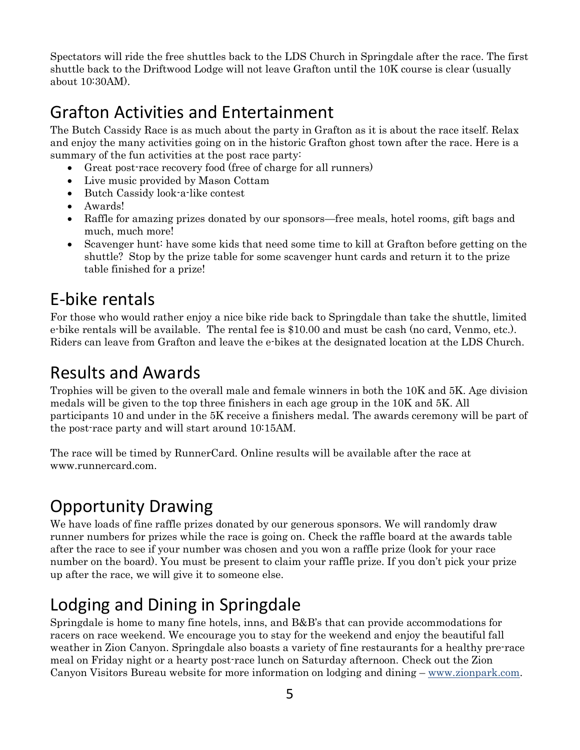Spectators will ride the free shuttles back to the LDS Church in Springdale after the race. The first shuttle back to the Driftwood Lodge will not leave Grafton until the 10K course is clear (usually about 10:30AM).

### Grafton Activities and Entertainment

The Butch Cassidy Race is as much about the party in Grafton as it is about the race itself. Relax and enjoy the many activities going on in the historic Grafton ghost town after the race. Here is a summary of the fun activities at the post race party:

- Great post-race recovery food (free of charge for all runners)
- Live music provided by Mason Cottam
- Butch Cassidy look-a-like contest
- Awards!
- Raffle for amazing prizes donated by our sponsors—free meals, hotel rooms, gift bags and much, much more!
- Scavenger hunt: have some kids that need some time to kill at Grafton before getting on the shuttle? Stop by the prize table for some scavenger hunt cards and return it to the prize table finished for a prize!

### E-bike rentals

For those who would rather enjoy a nice bike ride back to Springdale than take the shuttle, limited e-bike rentals will be available. The rental fee is \$10.00 and must be cash (no card, Venmo, etc.). Riders can leave from Grafton and leave the e-bikes at the designated location at the LDS Church.

#### Results and Awards

Trophies will be given to the overall male and female winners in both the 10K and 5K. Age division medals will be given to the top three finishers in each age group in the 10K and 5K. All participants 10 and under in the 5K receive a finishers medal. The awards ceremony will be part of the post-race party and will start around 10:15AM.

The race will be timed by RunnerCard. Online results will be available after the race at [www.runnercard.com.](http://www.runnercard.com/)

## Opportunity Drawing

We have loads of fine raffle prizes donated by our generous sponsors. We will randomly draw runner numbers for prizes while the race is going on. Check the raffle board at the awards table after the race to see if your number was chosen and you won a raffle prize (look for your race number on the board). You must be present to claim your raffle prize. If you don't pick your prize up after the race, we will give it to someone else.

# Lodging and Dining in Springdale

Springdale is home to many fine hotels, inns, and B&B's that can provide accommodations for racers on race weekend. We encourage you to stay for the weekend and enjoy the beautiful fall weather in Zion Canyon. Springdale also boasts a variety of fine restaurants for a healthy pre-race meal on Friday night or a hearty post-race lunch on Saturday afternoon. Check out the Zion Canyon Visitors Bureau website for more information on lodging and dining – [www.zionpark.com.](http://www.zionpark.com/)